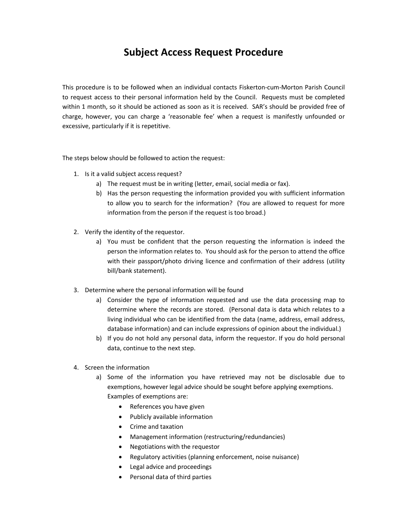# Subject Access Request Procedure

This procedure is to be followed when an individual contacts Fiskerton-cum-Morton Parish Council to request access to their personal information held by the Council. Requests must be completed within 1 month, so it should be actioned as soon as it is received. SAR's should be provided free of charge, however, you can charge a 'reasonable fee' when a request is manifestly unfounded or excessive, particularly if it is repetitive.

The steps below should be followed to action the request:

- 1. Is it a valid subject access request?
	- a) The request must be in writing (letter, email, social media or fax).
	- b) Has the person requesting the information provided you with sufficient information to allow you to search for the information? (You are allowed to request for more information from the person if the request is too broad.)
- 2. Verify the identity of the requestor.
	- a) You must be confident that the person requesting the information is indeed the person the information relates to. You should ask for the person to attend the office with their passport/photo driving licence and confirmation of their address (utility bill/bank statement).
- 3. Determine where the personal information will be found
	- a) Consider the type of information requested and use the data processing map to determine where the records are stored. (Personal data is data which relates to a living individual who can be identified from the data (name, address, email address, database information) and can include expressions of opinion about the individual.)
	- b) If you do not hold any personal data, inform the requestor. If you do hold personal data, continue to the next step.
- 4. Screen the information
	- a) Some of the information you have retrieved may not be disclosable due to exemptions, however legal advice should be sought before applying exemptions. Examples of exemptions are:
		- References you have given
		- Publicly available information
		- Crime and taxation
		- Management information (restructuring/redundancies)
		- Negotiations with the requestor
		- Regulatory activities (planning enforcement, noise nuisance)
		- Legal advice and proceedings
		- Personal data of third parties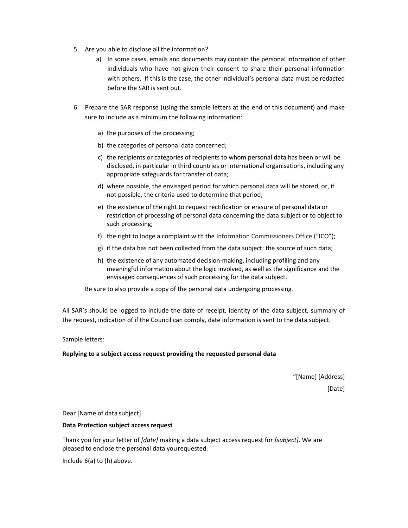- 5. Are you able to disclose all the information?
	- a) In some cases, emails and documents may contain the personal information of other individuals who have not given their consent to share their personal information with others. If this is the case, the other individual's personal data must be redacted before the SAR is sent out.
- 6. Prepare the SAR response (using the sample letters at the end of this document) and make sure to include as a minimum the following information:
	- a) the purposes of the processing;
	- b) the categories of personal data concerned;
	- c) the recipients or categories of recipients to whom personal data has been or will be disclosed, in particular in third countries or international organisations, including any appropriate safeguards for transfer of data;
	- d) where possible, the envisaged period for which personal data will be stored, or, if not possible, the criteria used to determine that period;
	- e) the existence of the right to request rectification or erasure of personal data or restriction of processing of personal data concerning the data subject or to object to such processing;
	- f) the right to lodge a complaint with the Information Commissioners Office ("ICO");
	- g) if the data has not been collected from the data subject: the source of such data;
	- h) the existence of any automated decision-making, including profiling and any meaningful information about the logic involved, as well as the significance and the envisaged consequences of such processing for the data subject.

Be sure to also provide a copy of the personal data undergoing processing.

All SAR's should be logged to include the date of receipt, identity of the data subject, summary of the request, indication of if the Council can comply, date information is sent to the data subject.

Sample letters:

## Replying to a subject access request providing the requested personal data

 "[Name] [Address] [Date]

Dear [Name of data subject]

### Data Protection subject access request

Thank you for your letter of [date] making a data subject access request for [subject]. We are pleased to enclose the personal data you requested.

Include 6(a) to (h) above.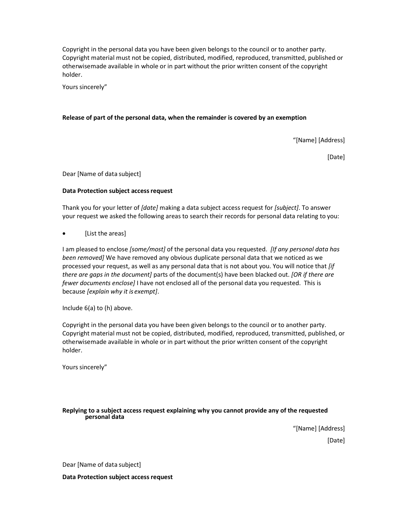Copyright in the personal data you have been given belongs to the council or to another party. Copyright material must not be copied, distributed, modified, reproduced, transmitted, published or otherwise made available in whole or in part without the prior written consent of the copyright holder.

Yours sincerely"

#### Release of part of the personal data, when the remainder is covered by an exemption

"[Name] [Address]

[Date]

Dear [Name of data subject]

#### Data Protection subject access request

Thank you for your letter of [date] making a data subject access request for [subject]. To answer your request we asked the following areas to search their records for personal data relating to you:

• [List the areas]

I am pleased to enclose [some/most] of the personal data you requested. [If any personal data has been removed] We have removed any obvious duplicate personal data that we noticed as we processed your request, as well as any personal data that is not about you. You will notice that [if there are gaps in the document] parts of the document(s) have been blacked out. [OR if there are fewer documents enclose] I have not enclosed all of the personal data you requested. This is because [explain why it is exempt].

Include 6(a) to (h) above.

Copyright in the personal data you have been given belongs to the council or to another party. Copyright material must not be copied, distributed, modified, reproduced, transmitted, published, or otherwise made available in whole or in part without the prior written consent of the copyright holder.

Yours sincerely"

#### Replying to a subject access request explaining why you cannot provide any of the requested personal data

"[Name] [Address] [Date]

Dear [Name of data subject]

Data Protection subject access request